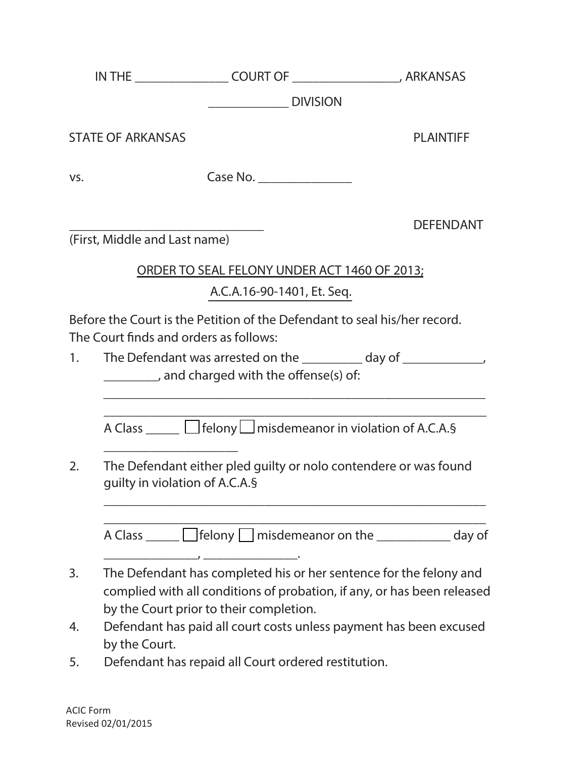| IN | <b>COURT OF</b> | <b>ARKANSAS</b> |
|----|-----------------|-----------------|
|----|-----------------|-----------------|

**\_\_\_\_\_\_\_\_\_\_\_\_ DIVISION**

**STATE OF ARKANSAS PLAINTIFF**

**\_\_\_\_\_\_\_\_\_\_\_\_\_\_\_\_\_\_\_\_\_\_\_\_\_\_\_\_\_ DEFENDANT**

vs. **Case No.** 

**(First, Middle and Last name)**

\_\_\_\_\_\_\_\_\_\_\_\_\_\_\_\_\_\_\_\_

**ORDER TO SEAL FELONY UNDER ACT 1460 OF 2013;**

**A.C.A.16-90-1401, Et. Seq.**

Before the Court is the Petition of the Defendant to seal his/her record. The Court finds and orders as follows:

1. The Defendant was arrested on the \_\_\_\_\_\_\_\_ day of \_\_\_\_\_\_\_\_\_\_\_\_, \_\_\_\_\_\_\_\_, and charged with the offense(s) of:

A Class \_\_\_\_\_  $\Box$  felony  $\Box$  misdemeanor in violation of A.C.A.§

\_\_\_\_\_\_\_\_\_\_\_\_\_\_\_\_\_\_\_\_\_\_\_\_\_\_\_\_\_\_\_\_\_\_\_\_\_\_\_\_\_\_\_\_\_\_\_\_\_\_\_\_\_\_\_\_\_ \_\_\_\_\_\_\_\_\_\_\_\_\_\_\_\_\_\_\_\_\_\_\_\_\_\_\_\_\_\_\_\_\_\_\_\_\_\_\_\_\_\_\_\_\_\_\_\_\_\_\_\_\_\_\_\_\_

2. The Defendant either pled guilty or nolo contendere or was found guilty in violation of A.C.A.§

\_\_\_\_\_\_\_\_\_\_\_\_\_\_\_\_\_\_\_\_\_\_\_\_\_\_\_\_\_\_\_\_\_\_\_\_\_\_\_\_\_\_\_\_\_\_\_\_\_\_\_\_\_\_\_\_\_ A Class  $\Box$  felony  $\Box$  misdemeanor on the  $\Box$  day of

\_\_\_\_\_\_\_\_\_\_\_\_\_\_\_\_\_\_\_\_\_\_\_\_\_\_\_\_\_\_\_\_\_\_\_\_\_\_\_\_\_\_\_\_\_\_\_\_\_\_\_\_\_\_\_\_\_

- 3. The Defendant has completed his or her sentence for the felony and complied with all conditions of probation, if any, or has been released by the Court prior to their completion.
- 4. Defendant has paid all court costs unless payment has been excused by the Court.
- 5. Defendant has repaid all Court ordered restitution.

 $\frac{1}{\sqrt{2}}$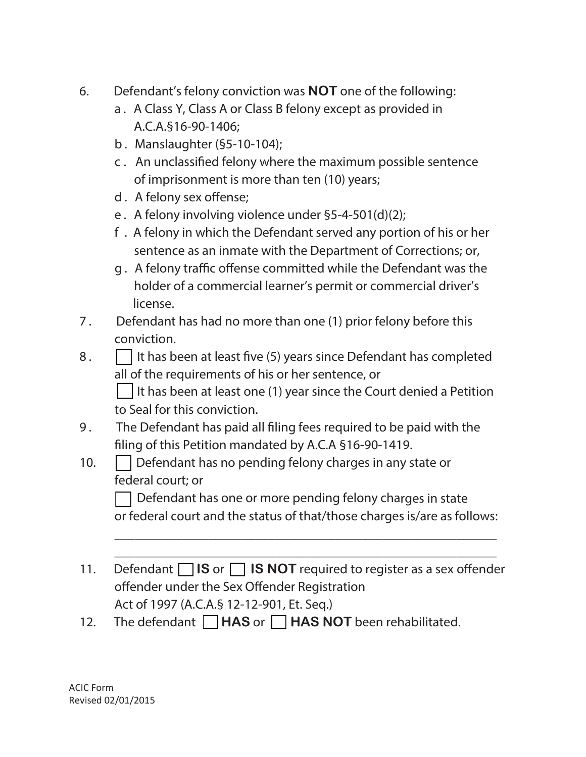- 6. Defendant's felony conviction was **NOT** one of the following:
	- a. A Class Y, Class A or Class B felony except as provided in A.C.A.§16-90-1406;
	- b. Manslaughter (§5-10-104);
	- c. An unclassied felony where the maximum possible sentence of imprisonment is more than ten (10) years;
	- d. A felony sex offense;
	- e. A felony involving violence under §5-4-501(d)(2);
	- f . A felony in which the Defendant served any portion of his or her sentence as an inmate with the Department of Corrections; or,
	- g. A felony traffic offense committed while the Defendant was the holder of a commercial learner's permit or commercial driver's license.
- 7. Defendant has had no more than one (1) prior felony before this conviction.
- 8.  $\Box$  It has been at least five (5) years since Defendant has completed all of the requirements of his or her sentence, or

I It has been at least one (1) year since the Court denied a Petition to Seal for this conviction.

- 9. The Defendant has paid all filing fees required to be paid with the filing of this Petition mandated by A.C.A §16-90-1419.
- 10.  $\Box$  Defendant has no pending felony charges in any state or federal court; or

Defendant has one or more pending felony charges in state or federal court and the status of that/those charges is/are as follows:

\_\_\_\_\_\_\_\_\_\_\_\_\_\_\_\_\_\_\_\_\_\_\_\_\_\_\_\_\_\_\_\_\_\_\_\_\_\_\_\_\_\_\_\_\_\_\_\_\_\_\_\_\_\_\_\_\_ \_\_\_\_\_\_\_\_\_\_\_\_\_\_\_\_\_\_\_\_\_\_\_\_\_\_\_\_\_\_\_\_\_\_\_\_\_\_\_\_\_\_\_\_\_\_\_\_\_\_\_\_\_\_\_\_\_

- 11. Defendant  $\Box$  **IS** or  $\Box$  **IS NOT** required to register as a sex offender offender under the Sex Offender Registration Act of 1997 (A.C.A.§ 12-12-901, Et. Seq.)
- 12. The defendant **HAS** or **HAS NOT** been rehabilitated.